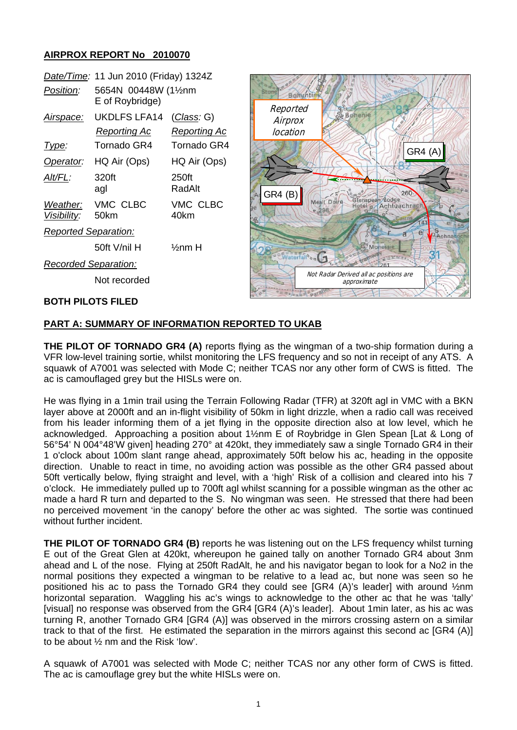## **AIRPROX REPORT No 2010070**

|                             | Date/Time: 11 Jun 2010 (Friday) 1324Z   |                                           |
|-----------------------------|-----------------------------------------|-------------------------------------------|
| Position:                   | 5654N 00448W (11/2nm<br>E of Roybridge) |                                           |
| Airspace:                   | UKDLFS LFA14<br><u>Reporting Ac</u>     | ( <i>Class:</i> G)<br><u>Reporting Ac</u> |
| lype:                       | Tornado GR4                             | Tornado GR4                               |
| Operator:                   | HQ Air (Ops)                            | HQ Air (Ops)                              |
| AIt/FL:                     | 320ft<br>agl                            | 250ft<br>RadAlt                           |
| Weather:<br>Visibility:     | VMC CLBC<br>50km                        | VMC CLBC<br>40km                          |
| <b>Reported Separation:</b> |                                         |                                           |
|                             | 50ft V/nil H                            | $\frac{1}{2}$ nm H                        |
| Recorded Separation:        |                                         |                                           |
|                             | Not recorded                            |                                           |



#### **BOTH PILOTS FILED**

### **PART A: SUMMARY OF INFORMATION REPORTED TO UKAB**

**THE PILOT OF TORNADO GR4 (A)** reports flying as the wingman of a two-ship formation during a VFR low-level training sortie, whilst monitoring the LFS frequency and so not in receipt of any ATS. A squawk of A7001 was selected with Mode C; neither TCAS nor any other form of CWS is fitted. The ac is camouflaged grey but the HISLs were on.

He was flying in a 1min trail using the Terrain Following Radar (TFR) at 320ft agl in VMC with a BKN layer above at 2000ft and an in-flight visibility of 50km in light drizzle, when a radio call was received from his leader informing them of a jet flying in the opposite direction also at low level, which he acknowledged. Approaching a position about 1½nm E of Roybridge in Glen Spean [Lat & Long of 56°54' N 004°48'W given] heading 270° at 420kt, they immediately saw a single Tornado GR4 in their 1 o'clock about 100m slant range ahead, approximately 50ft below his ac, heading in the opposite direction. Unable to react in time, no avoiding action was possible as the other GR4 passed about 50ft vertically below, flying straight and level, with a 'high' Risk of a collision and cleared into his 7 o'clock. He immediately pulled up to 700ft agl whilst scanning for a possible wingman as the other ac made a hard R turn and departed to the S. No wingman was seen. He stressed that there had been no perceived movement 'in the canopy' before the other ac was sighted. The sortie was continued without further incident.

**THE PILOT OF TORNADO GR4 (B)** reports he was listening out on the LFS frequency whilst turning E out of the Great Glen at 420kt, whereupon he gained tally on another Tornado GR4 about 3nm ahead and L of the nose. Flying at 250ft RadAlt, he and his navigator began to look for a No2 in the normal positions they expected a wingman to be relative to a lead ac, but none was seen so he positioned his ac to pass the Tornado GR4 they could see [GR4 (A)'s leader] with around ½nm horizontal separation. Waggling his ac's wings to acknowledge to the other ac that he was 'tally' [visual] no response was observed from the GR4 [GR4 (A)'s leader]. About 1min later, as his ac was turning R, another Tornado GR4 [GR4 (A)] was observed in the mirrors crossing astern on a similar track to that of the first. He estimated the separation in the mirrors against this second ac [GR4 (A)] to be about ½ nm and the Risk 'low'.

A squawk of A7001 was selected with Mode C; neither TCAS nor any other form of CWS is fitted. The ac is camouflage grey but the white HISLs were on.